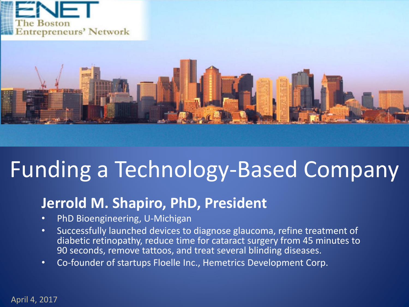



## Funding a Technology-Based Company

#### **Jerrold M. Shapiro, PhD, President**

- PhD Bioengineering, U-Michigan
- Successfully launched devices to diagnose glaucoma, refine treatment of diabetic retinopathy, reduce time for cataract surgery from 45 minutes to 90 seconds, remove tattoos, and treat several blinding diseases.
- Co-founder of startups Floelle Inc., Hemetrics Development Corp.

April 4, 2017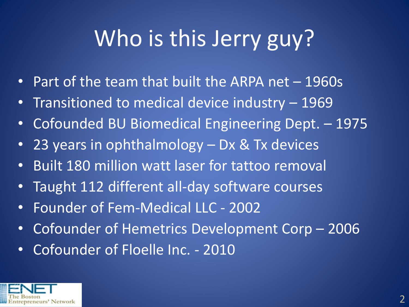# Who is this Jerry guy?

- Part of the team that built the ARPA net 1960s
- Transitioned to medical device industry 1969
- Cofounded BU Biomedical Engineering Dept. 1975
- 23 years in ophthalmology Dx & Tx devices
- Built 180 million watt laser for tattoo removal
- Taught 112 different all-day software courses
- Founder of Fem-Medical LLC 2002
- Cofounder of Hemetrics Development Corp 2006
- Cofounder of Floelle Inc. 2010

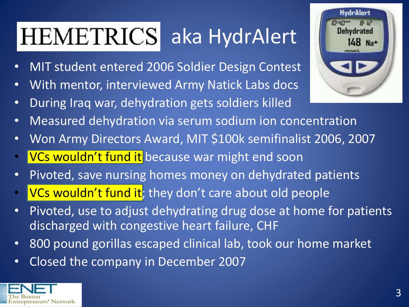#### **HEMETRICS** aka HydrAlert

- MIT student entered 2006 Soldier Design Contest
- With mentor, interviewed Army Natick Labs docs
- During Iraq war, dehydration gets soldiers killed
- Measured dehydration via serum sodium ion concentration
- Won Army Directors Award, MIT \$100k semifinalist 2006, 2007
- VCs wouldn't fund it because war might end soon
- Pivoted, save nursing homes money on dehydrated patients
- VCs wouldn't fund it; they don't care about old people
- Pivoted, use to adjust dehydrating drug dose at home for patients discharged with congestive heart failure, CHF
- 800 pound gorillas escaped clinical lab, took our home market
- Closed the company in December 2007



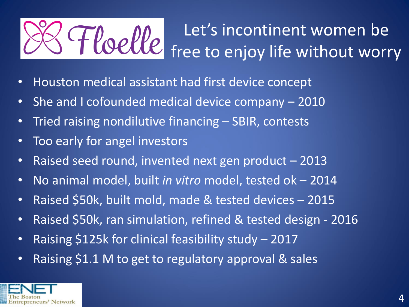#### Let's incontinent women be Hoelle free to enjoy life without worry

- Houston medical assistant had first device concept
- She and I cofounded medical device company 2010
- Tried raising nondilutive financing SBIR, contests
- Too early for angel investors
- Raised seed round, invented next gen product 2013
- No animal model, built *in vitro* model, tested ok 2014
- Raised \$50k, built mold, made & tested devices 2015
- Raised \$50k, ran simulation, refined & tested design 2016
- Raising \$125k for clinical feasibility study 2017
- Raising \$1.1 M to get to regulatory approval & sales

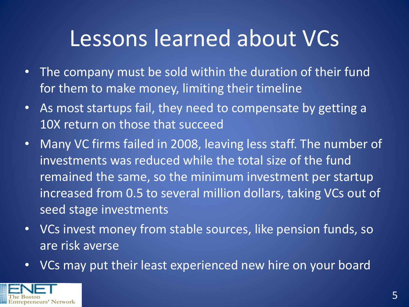### Lessons learned about VCs

- The company must be sold within the duration of their fund for them to make money, limiting their timeline
- As most startups fail, they need to compensate by getting a 10X return on those that succeed
- Many VC firms failed in 2008, leaving less staff. The number of investments was reduced while the total size of the fund remained the same, so the minimum investment per startup increased from 0.5 to several million dollars, taking VCs out of seed stage investments
- VCs invest money from stable sources, like pension funds, so are risk averse
- VCs may put their least experienced new hire on your board

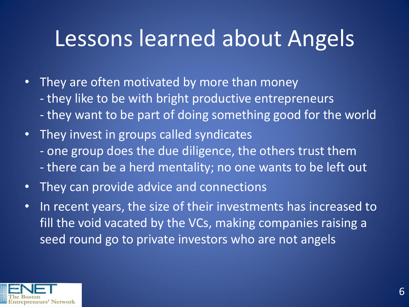### Lessons learned about Angels

- They are often motivated by more than money - they like to be with bright productive entrepreneurs - they want to be part of doing something good for the world
- They invest in groups called syndicates - one group does the due diligence, the others trust them - there can be a herd mentality; no one wants to be left out
- They can provide advice and connections
- In recent years, the size of their investments has increased to fill the void vacated by the VCs, making companies raising a seed round go to private investors who are not angels